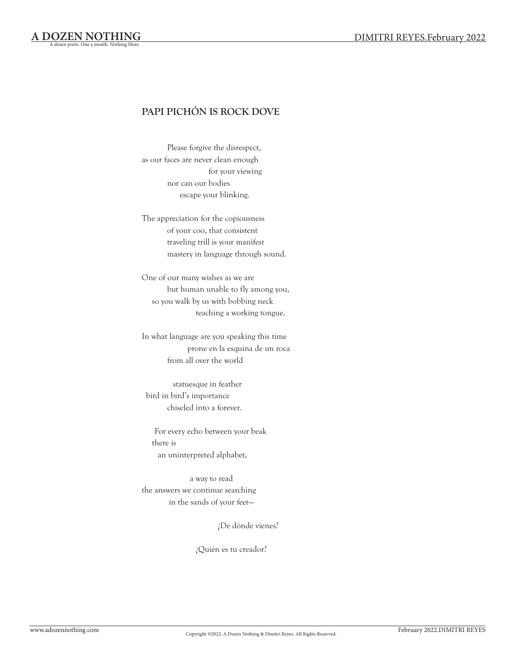## **PAPI PICHÓN IS ROCK DOVE**

Please forgive the disrespect, as our faces are never clean enough for your viewing nor can our bodies escape your blinking.

The appreciation for the copiousness of your coo, that consistent traveling trill is your manifest mastery in language through sound.

One of our many wishes as we are but human unable to fly among you, so you walk by us with bobbing neck teaching a working tongue.

In what language are you speaking this time prone en la esquina de un roca from all over the world

statuesque in feather bird in bird's importance chiseled into a forever.

For every echo between your beak there is an uninterpreted alphabet,

a way to read the answers we continue searching in the sands of your feet—

¿De dónde vienes?

¿Quién es tu creador?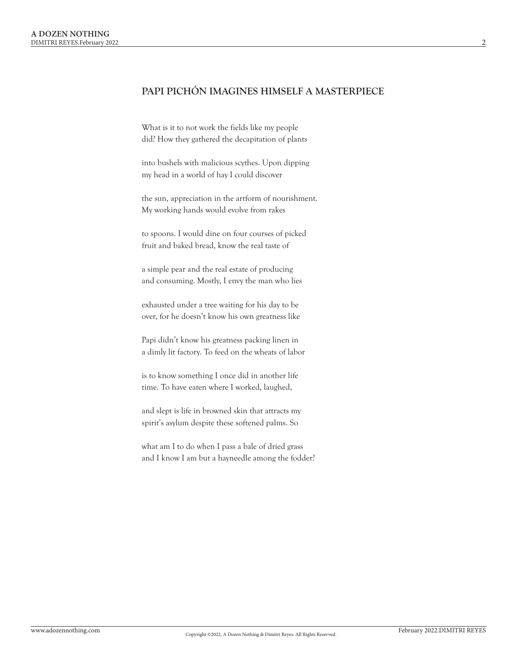### **PAPI PICHÓN IMAGINES HIMSELF A MASTERPIECE**

What is it to not work the fields like my people did? How they gathered the decapitation of plants

into bushels with malicious scythes. Upon dipping my head in a world of hay I could discover

the sun, appreciation in the artform of nourishment. My working hands would evolve from rakes

to spoons. I would dine on four courses of picked fruit and baked bread, know the real taste of

a simple pear and the real estate of producing and consuming. Mostly, I envy the man who lies

exhausted under a tree waiting for his day to be over, for he doesn't know his own greatness like

Papi didn't know his greatness packing linen in a dimly lit factory. To feed on the wheats of labor

is to know something I once did in another life time. To have eaten where I worked, laughed,

and slept is life in browned skin that attracts my spirit's asylum despite these softened palms. So

what am I to do when I pass a bale of dried grass and I know I am but a hayneedle among the fodder?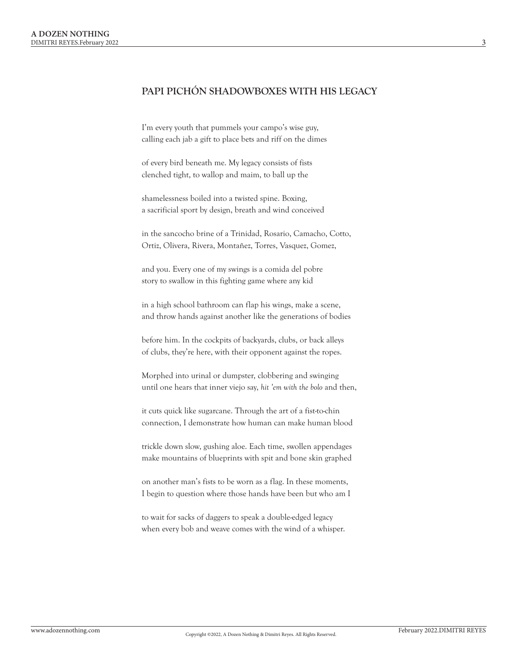#### **PAPI PICHÓN SHADOWBOXES WITH HIS LEGACY**

I'm every youth that pummels your campo's wise guy, calling each jab a gift to place bets and riff on the dimes

of every bird beneath me. My legacy consists of fists clenched tight, to wallop and maim, to ball up the

shamelessness boiled into a twisted spine. Boxing, a sacrificial sport by design, breath and wind conceived

in the sancocho brine of a Trinidad, Rosario, Camacho, Cotto, Ortiz, Olivera, Rivera, Montañez, Torres, Vasquez, Gomez,

and you. Every one of my swings is a comida del pobre story to swallow in this fighting game where any kid

in a high school bathroom can flap his wings, make a scene, and throw hands against another like the generations of bodies

before him. In the cockpits of backyards, clubs, or back alleys of clubs, they're here, with their opponent against the ropes.

Morphed into urinal or dumpster, clobbering and swinging until one hears that inner viejo say, *hit 'em with the bolo* and then,

it cuts quick like sugarcane. Through the art of a fist-to-chin connection, I demonstrate how human can make human blood

trickle down slow, gushing aloe. Each time, swollen appendages make mountains of blueprints with spit and bone skin graphed

on another man's fists to be worn as a flag. In these moments, I begin to question where those hands have been but who am I

to wait for sacks of daggers to speak a double-edged legacy when every bob and weave comes with the wind of a whisper.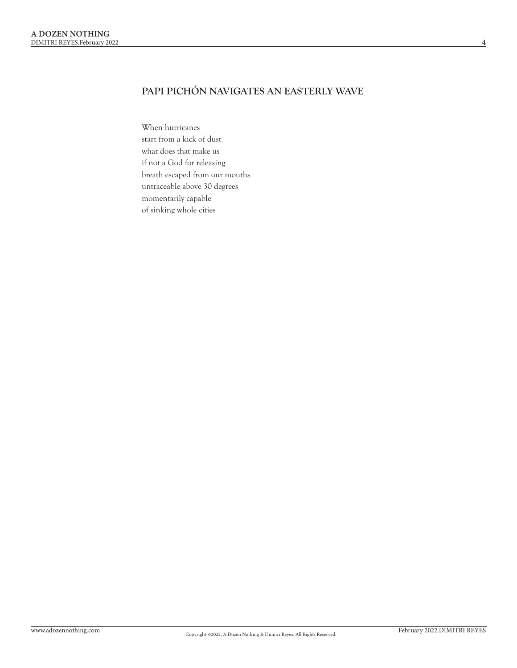# **PAPI PICHÓN NAVIGATES AN EASTERLY WAVE**

When hurricanes start from a kick of dust what does that make us if not a God for releasing breath escaped from our mouths untraceable above 30 degrees momentarily capable of sinking whole cities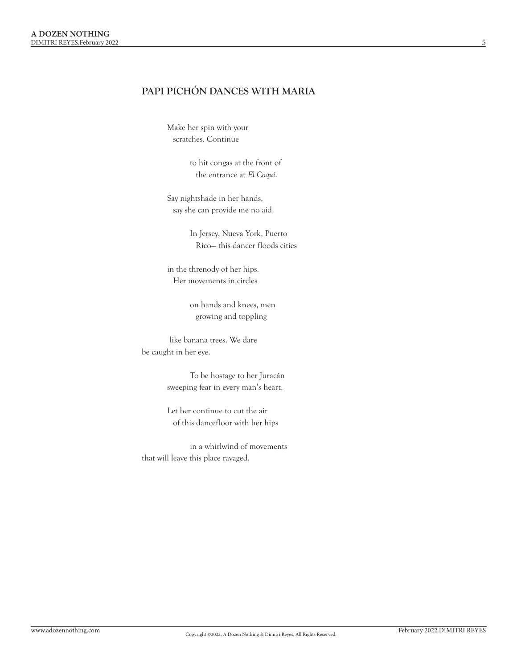## **PAPI PICHÓN DANCES WITH MARIA**

Make her spin with your scratches. Continue

> to hit congas at the front of the entrance at *El Coquí*.

Say nightshade in her hands, say she can provide me no aid.

> In Jersey, Nueva York, Puerto Rico— this dancer floods cities

in the threnody of her hips. Her movements in circles

> on hands and knees, men growing and toppling

like banana trees. We dare be caught in her eye.

> To be hostage to her Juracán sweeping fear in every man's heart.

Let her continue to cut the air of this dancefloor with her hips

in a whirlwind of movements that will leave this place ravaged.